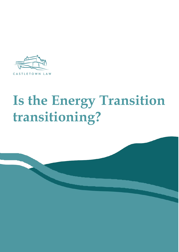

# **Is the Energy Transition transitioning?**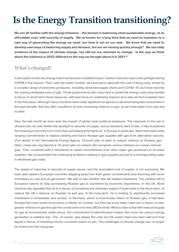## **Is the Energy Transition transitioning?**

We are all familiar with the energy trilemma – the tension in balancing clean sustainable energy, at an **affordable cost, with security of supply. We**'**ve known for a long time that we need to transition to a new way of generating the energy we need, but time is not on our side. We know that we need to develop new ways of balancing supply and demand, but are we moving quickly enough? We see daily evidence of the impact of climate change, but still we are reluctant to change. Is the way we think about the trilemma in 2022 different to the way we thought about it in 2021?**

### **What's changed?**

In the last 6 months the energy trilemma has been a headline issue. Carbon reduction was in the spotlight during COP26 in the autumn. Then, over the winter months, we have had to deal with the cost of living crisis, driven by a complex range of economic pressures, including stretched supply chains and COVID-19, but most recently the soaring wholesale price of gas. Those governments who have tried to tackle the energy crisis have tended to focus on short-term fiscal measures, with less focus on underlying reasons as to why we find ourselves here in the first place. Although many countries have made significant progress on decarbonising their economies in the past decade, that has often resulted in an ever increasing reliance on gas, as we move away from coal and nuclear.

Over the last month we have seen the impact of global socio-political pressures. The response to the war in Ukraine has not only shifted the spotlight to security of supply, but as sanctions start to bite, it has broadened the meaning of security from more than just keeping the lights on. In Europe in particular, there have been wide ranging commitments to replace existing and future Russian gas supplies with gas from alternative sources. (Full details in the International Energy Agency 10-point plan to seek to reduce reliance on Russian gas – [https://www.iea.org/reports/a-10-point-plan-to-reduce-the-european-unions-reliance-on-russian-natural](https://www.iea.org/reports/a-10-point-plan-to-reduce-the-european-unions-reliance-on-russian-natural-gas)[gas\)](https://www.iea.org/reports/a-10-point-plan-to-reduce-the-european-unions-reliance-on-russian-natural-gas). That, combined with a reluctance to obtain commitments from other major gas producers to increase supplies, has compounded the underlying problems relating to gas supplies and led to a corresponding spike in wholesale gas costs.

The speed of response to security of supply issues, and the associated cost of supply, is not surprising. We have seen eastern European countries stepping away from their green commitments and returning with some immediacy to coal and oil generation. We wait to see whether this will happen elsewhere. The political will of European nations to stop purchasing Russian gas is countered by economic expediency. In the UK, Boris Johnson has signalled that he is in favour of increasing the domestic supply of fossil fuels in the short-term, to reduce the UK's reliance on Russian oil and gas. In the long-term, he is looking to significantly increased investment in renewables and nuclear. In Germany, which is enormously reliant on Russian gas, it had been thought the crisis would bring about a rethink on nuclear, but that has since been ruled out in favour of even greater reliance on gas through the construction of a new LNG terminal. What is clear is that with reduced supply for gas at economically viable prices, the commitment to electrification means that more low carbon energy generation is needed now. This, of course, was always the case but the scales have now been well and truly tipped in favour of investing now for countries reliant on gas. The challenges of climate change can no longer be kicked into the long grass.

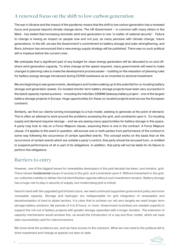### **A renewed focus on the shift to low carbon generation**

The war in Ukraine and the impact of the pandemic means that the shift to low carbon generation has a renewed focus and purpose beyond climate change alone. The UK Government – in common with many others in the West - has stated that increasing domestic wind and generation is now "a matter of national security". Failure to change is having an impact on people now and not just, as many perceive with climate change, future generations. In the UK, we see the Government's commitment to battery storage and solar strengthening, and Boris Johnson has announced that a new energy supply strategy will be published. There was no such political will or impetus before the current crisis.

We anticipate that a significant part of any budget for clean energy generation will be allocated to on and offshore wind generation capacity. To drive change at the speed required, many governments will need to make changes to planning rules to make the development process easier – building on the relaxation of planning rules for battery energy storage introduced during COVID lockdowns as an incentive to sectoral investment.

We are beginning to see governments, developers and funders waking up to the potential for co-locating battery storage and generation assets. Co-located shorter term battery storage projects have been very successful in the latest capacity market auctions – including the InterGen 320MW Gateway battery project – one of the largest battery storage projects in Europe. Huge opportunities for these co-located projects exist across the European continent.

Similarly, we find our clients turning increasingly to a hub model, seeking to generate at the point of demand. This is often an attempt to work around the problems accessing the grid, and constraints upon it. Co-locating supply and demand requires storage – and we are seeing many opportunities for battery storage in this space. A party may look to rely on a Force Majeure clause, assuming there is one in the contract. A Force Majeure clause, if it applies to the event in question, will excuse one or both parties from performance of the contract in some way following the occurrence of certain specified events. The concept works on the basis that on the occurrence of certain events which are outside a party's control, that party should be excused from, or entitled to suspend performance of all or part of its obligations. In addition, that party will not be liable for its failure to perform the obligations.

#### **Barriers to entry**

However, one of the biggest issues for renewables developers in the past decade has been, and remains, grid. There remain fundamental issues of access to the grid, and constraints upon it. Without investment in the grid, our collective inability to deliver the full electrification agenda without such investment remains. Battery storage has a huge role to play in security of supply, but modernising grid is critical.

Hand in hand with the upgraded grid infrastructure, we need continued supportive government policy and more renewable capacity. Storage and hydrogen are indispensable for grid integration of renewables and decarbonisation of hard to abate sectors. It is clear that to achieve our net zero targets we need longer term storage battery solutions, for periods of 4 to 8 hours, or more. Government incentives are needed urgently to support the roll-out of battery projects with greater storage capacities with a longer duration. The extension of capacity mechanisms would achieve this, as would the introduction of a cap and floor model, which we have seen successfully used for interconnectors.

We know what the problems are, and we have access to the solutions. What we now need is the political will to drive investment and change at speeds not seen to date.